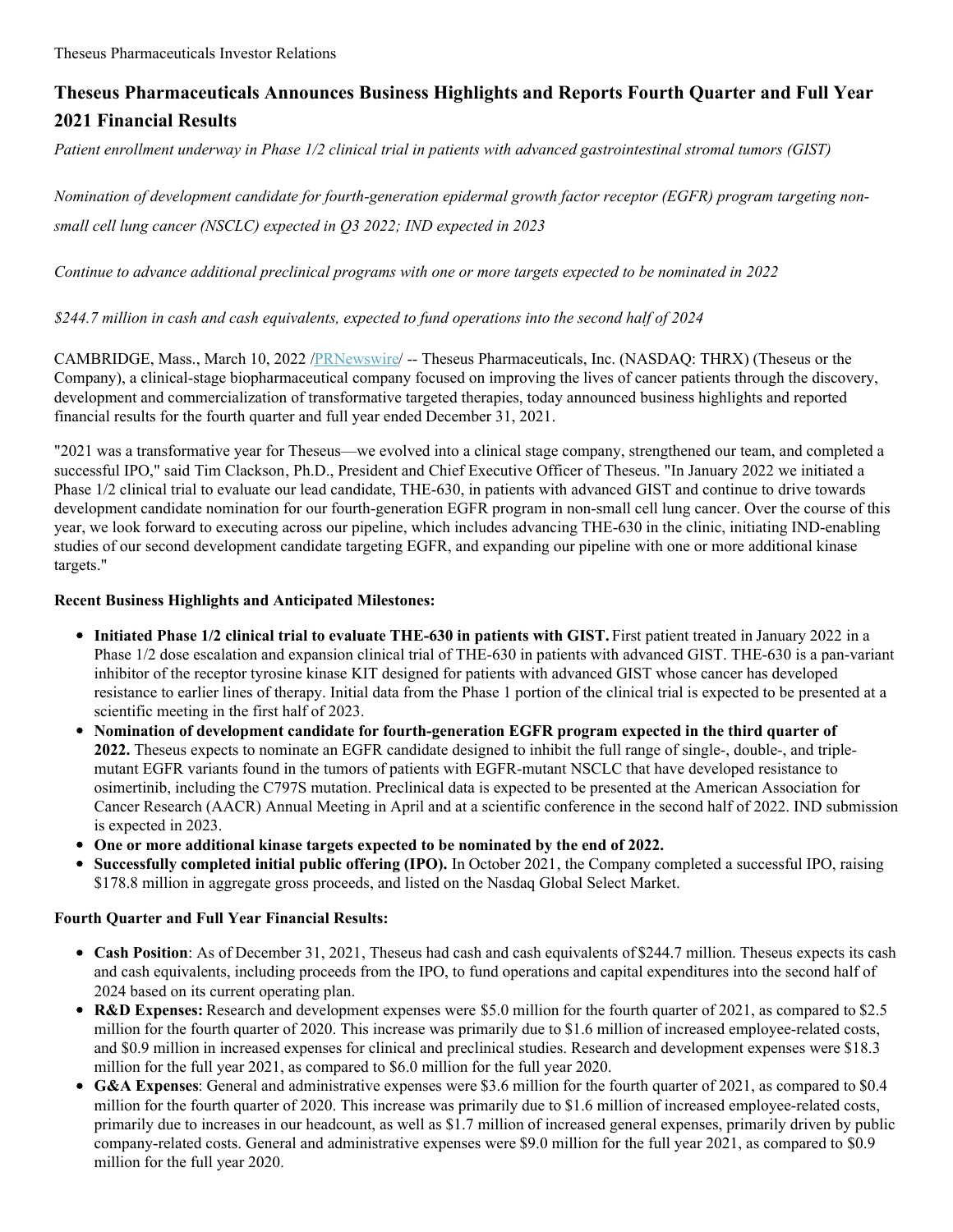# **Theseus Pharmaceuticals Announces Business Highlights and Reports Fourth Quarter and Full Year 2021 Financial Results**

Patient enrollment underway in Phase 1/2 clinical trial in patients with advanced gastrointestinal stromal tumors (GIST)

*Nomination of development candidate for fourth-generation epidermal growth factor receptor (EGFR) program targeting nonsmall cell lung cancer (NSCLC) expected in Q3 2022; IND expected in 2023*

Continue to advance additional preclinical programs with one or more targets expected to be nominated in 2022

# *\$244.7 million in cash and cash equivalents, expected to fund operations into the second half of 2024*

CAMBRIDGE, Mass., March 10, 2022 [/PRNewswire](http://www.prnewswire.com/)/ -- Theseus Pharmaceuticals, Inc. (NASDAQ: THRX) (Theseus or the Company), a clinical-stage biopharmaceutical company focused on improving the lives of cancer patients through the discovery, development and commercialization of transformative targeted therapies, today announced business highlights and reported financial results for the fourth quarter and full year ended December 31, 2021.

"2021 was a transformative year for Theseus—we evolved into a clinical stage company, strengthened our team, and completed a successful IPO," said Tim Clackson, Ph.D., President and Chief Executive Officer of Theseus. "In January 2022 we initiated a Phase 1/2 clinical trial to evaluate our lead candidate, THE-630, in patients with advanced GIST and continue to drive towards development candidate nomination for our fourth-generation EGFR program in non-small cell lung cancer. Over the course of this year, we look forward to executing across our pipeline, which includes advancing THE-630 in the clinic, initiating IND-enabling studies of our second development candidate targeting EGFR, and expanding our pipeline with one or more additional kinase targets."

# **Recent Business Highlights and Anticipated Milestones:**

- **Initiated Phase 1/2 clinical trial to evaluate THE-630 in patients with GIST.** First patient treated in January 2022 in a Phase 1/2 dose escalation and expansion clinical trial of THE-630 in patients with advanced GIST. THE-630 is a pan-variant inhibitor of the receptor tyrosine kinase KIT designed for patients with advanced GIST whose cancer has developed resistance to earlier lines of therapy. Initial data from the Phase 1 portion of the clinical trial is expected to be presented at a scientific meeting in the first half of 2023.
- **Nomination of development candidate for fourth-generation EGFR program expected in the third quarter of 2022.** Theseus expects to nominate an EGFR candidate designed to inhibit the full range of single-, double-, and triplemutant EGFR variants found in the tumors of patients with EGFR-mutant NSCLC that have developed resistance to osimertinib, including the C797S mutation. Preclinical data is expected to be presented at the American Association for Cancer Research (AACR) Annual Meeting in April and at a scientific conference in the second half of 2022. IND submission is expected in 2023.
- **One or more additional kinase targets expected to be nominated by the end of 2022.**
- **Successfully completed initial public offering (IPO).** In October 2021, the Company completed a successful IPO, raising \$178.8 million in aggregate gross proceeds, and listed on the Nasdaq Global Select Market.

## **Fourth Quarter and Full Year Financial Results:**

- Cash Position: As of December 31, 2021, Theseus had cash and cash equivalents of \$244.7 million. Theseus expects its cash and cash equivalents, including proceeds from the IPO, to fund operations and capital expenditures into the second half of 2024 based on its current operating plan.
- **R&D Expenses:** Research and development expenses were \$5.0 million for the fourth quarter of 2021, as compared to \$2.5 million for the fourth quarter of 2020. This increase was primarily due to \$1.6 million of increased employee-related costs, and \$0.9 million in increased expenses for clinical and preclinical studies. Research and development expenses were \$18.3 million for the full year 2021, as compared to \$6.0 million for the full year 2020.
- **G&A Expenses**: General and administrative expenses were \$3.6 million for the fourth quarter of 2021, as compared to \$0.4 million for the fourth quarter of 2020. This increase was primarily due to \$1.6 million of increased employee-related costs, primarily due to increases in our headcount, as well as \$1.7 million of increased general expenses, primarily driven by public company-related costs. General and administrative expenses were \$9.0 million for the full year 2021, as compared to \$0.9 million for the full year 2020.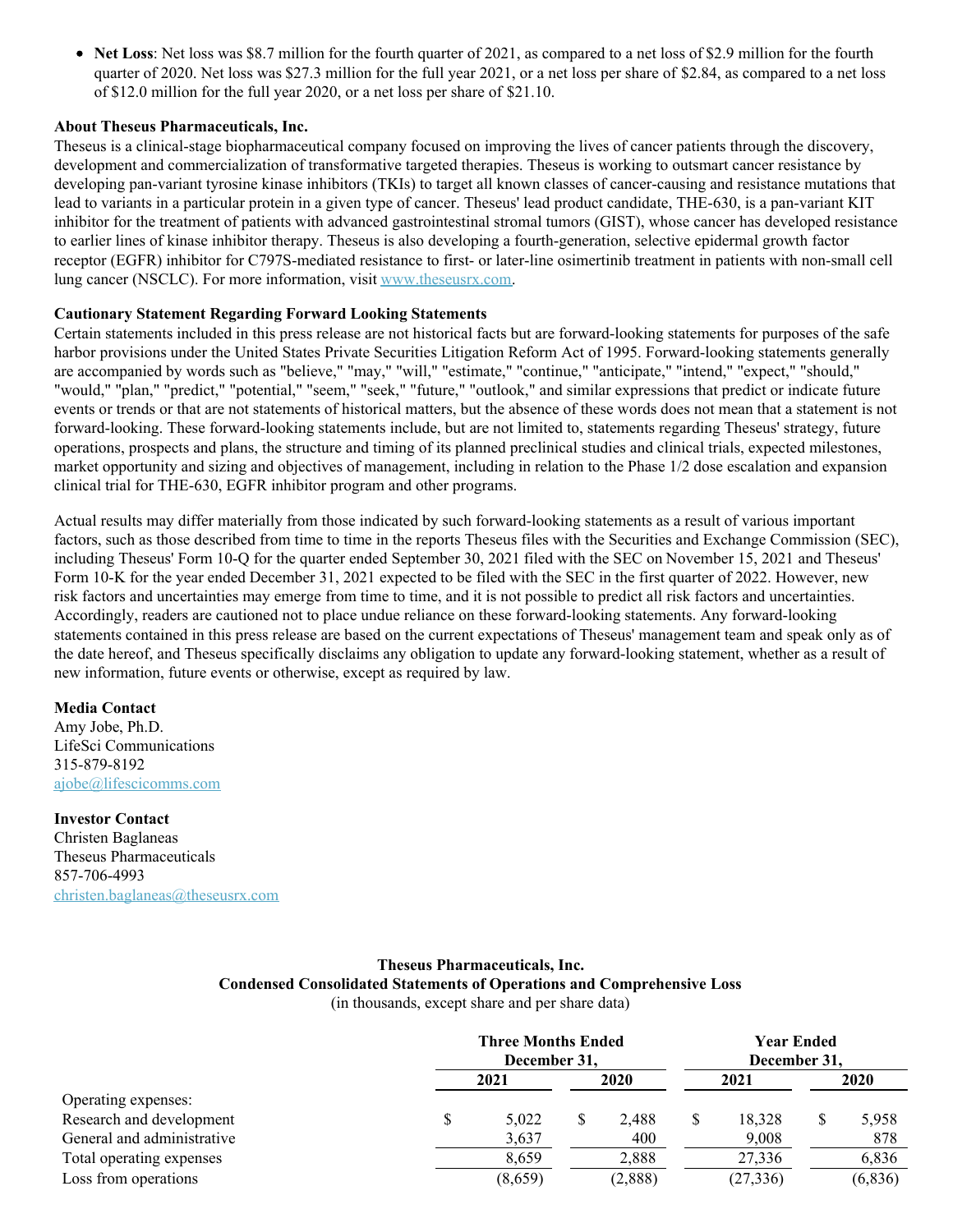**Net Loss**: Net loss was \$8.7 million for the fourth quarter of 2021, as compared to a net loss of \$2.9 million for the fourth quarter of 2020. Net loss was \$27.3 million for the full year 2021, or a net loss per share of \$2.84, as compared to a net loss of \$12.0 million for the full year 2020, or a net loss per share of \$21.10.

## **About Theseus Pharmaceuticals, Inc.**

Theseus is a clinical-stage biopharmaceutical company focused on improving the lives of cancer patients through the discovery, development and commercialization of transformative targeted therapies. Theseus is working to outsmart cancer resistance by developing pan-variant tyrosine kinase inhibitors (TKIs) to target all known classes of cancer-causing and resistance mutations that lead to variants in a particular protein in a given type of cancer. Theseus' lead product candidate, THE-630, is a pan-variant KIT inhibitor for the treatment of patients with advanced gastrointestinal stromal tumors (GIST), whose cancer has developed resistance to earlier lines of kinase inhibitor therapy. Theseus is also developing a fourth-generation, selective epidermal growth factor receptor (EGFR) inhibitor for C797S-mediated resistance to first- or later-line osimertinib treatment in patients with non-small cell lung cancer (NSCLC). For more information, visit [www.theseusrx.com](https://c212.net/c/link/?t=0&l=en&o=3468556-1&h=4167925885&u=https%3A%2F%2Fc212.net%2Fc%2Flink%2F%3Ft%3D0%26l%3Den%26o%3D3392180-1%26h%3D375832609%26u%3Dhttps%253A%252F%252Fc212.net%252Fc%252Flink%252F%253Ft%253D0%2526l%253Den%2526o%253D3358388-1%2526h%253D1852982352%2526u%253Dhttp%25253A%25252F%25252Fwww.theseusrx.com%25252F%2526a%253Dwww.theseusrx.com%26a%3Dwww.theseusrx.com&a=www.theseusrx.com).

### **Cautionary Statement Regarding Forward Looking Statements**

Certain statements included in this press release are not historical facts but are forward-looking statements for purposes of the safe harbor provisions under the United States Private Securities Litigation Reform Act of 1995. Forward-looking statements generally are accompanied by words such as "believe," "may," "will," "estimate," "continue," "anticipate," "intend," "expect," "should," "would," "plan," "predict," "potential," "seem," "seek," "future," "outlook," and similar expressions that predict or indicate future events or trends or that are not statements of historical matters, but the absence of these words does not mean that a statement is not forward-looking. These forward-looking statements include, but are not limited to, statements regarding Theseus' strategy, future operations, prospects and plans, the structure and timing of its planned preclinical studies and clinical trials, expected milestones, market opportunity and sizing and objectives of management, including in relation to the Phase 1/2 dose escalation and expansion clinical trial for THE-630, EGFR inhibitor program and other programs.

Actual results may differ materially from those indicated by such forward-looking statements as a result of various important factors, such as those described from time to time in the reports Theseus files with the Securities and Exchange Commission (SEC), including Theseus' Form 10-Q for the quarter ended September 30, 2021 filed with the SEC on November 15, 2021 and Theseus' Form 10-K for the year ended December 31, 2021 expected to be filed with the SEC in the first quarter of 2022. However, new risk factors and uncertainties may emerge from time to time, and it is not possible to predict all risk factors and uncertainties. Accordingly, readers are cautioned not to place undue reliance on these forward-looking statements. Any forward-looking statements contained in this press release are based on the current expectations of Theseus' management team and speak only as of the date hereof, and Theseus specifically disclaims any obligation to update any forward-looking statement, whether as a result of new information, future events or otherwise, except as required by law.

#### **Media Contact**

Amy Jobe, Ph.D. LifeSci Communications 315-879-8192 [ajobe@lifescicomms.com](mailto:ajobe@lifescicomms.com)

#### **Investor Contact**

Christen Baglaneas Theseus Pharmaceuticals 857-706-4993 [christen.baglaneas@theseusrx.com](mailto:christen.baglaneas@theseusrx.com)

## **Theseus Pharmaceuticals, Inc. Condensed Consolidated Statements of Operations and Comprehensive Loss** (in thousands, except share and per share data)

**Three Months Ended December 31, Year Ended December 31, 2021 2020 2021 2020** Operating expenses: Research and development  $\begin{array}{cccccccccc} 8 & 5,022 & 8 & 2,488 & 8 & 18,328 & 8 & 5,958 \end{array}$ General and administrative 3,637 400 9,008 878 Total operating expenses  $8,659$   $2,888$   $27,336$   $6,836$ Loss from operations (8,659) (2,888) (2,888) (6,836) (6,836)